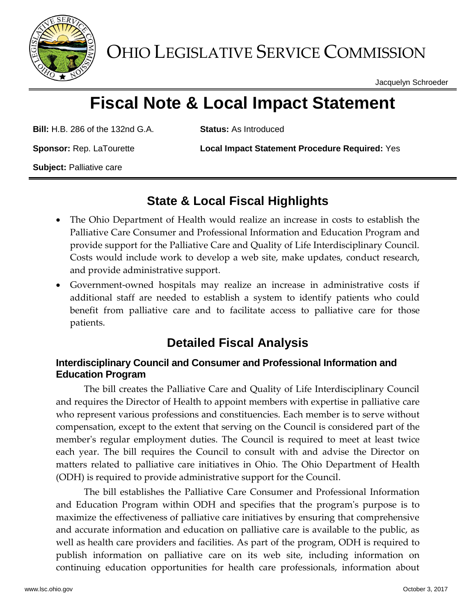

OHIO LEGISLATIVE SERVICE COMMISSION

Jacquelyn Schroeder

# **Fiscal Note & Local Impact Statement**

**Bill:** H.B. 286 of the 132nd G.A. **Status:** As Introduced

**Sponsor:** Rep. LaTourette **Local Impact Statement Procedure Required:** Yes

**Subject:** Palliative care

## **State & Local Fiscal Highlights**

- The Ohio Department of Health would realize an increase in costs to establish the Palliative Care Consumer and Professional Information and Education Program and provide support for the Palliative Care and Quality of Life Interdisciplinary Council. Costs would include work to develop a web site, make updates, conduct research, and provide administrative support.
- Government-owned hospitals may realize an increase in administrative costs if additional staff are needed to establish a system to identify patients who could benefit from palliative care and to facilitate access to palliative care for those patients.

### **Detailed Fiscal Analysis**

#### **Interdisciplinary Council and Consumer and Professional Information and Education Program**

The bill creates the Palliative Care and Quality of Life Interdisciplinary Council and requires the Director of Health to appoint members with expertise in palliative care who represent various professions and constituencies. Each member is to serve without compensation, except to the extent that serving on the Council is considered part of the member's regular employment duties. The Council is required to meet at least twice each year. The bill requires the Council to consult with and advise the Director on matters related to palliative care initiatives in Ohio. The Ohio Department of Health (ODH) is required to provide administrative support for the Council.

The bill establishes the Palliative Care Consumer and Professional Information and Education Program within ODH and specifies that the program's purpose is to maximize the effectiveness of palliative care initiatives by ensuring that comprehensive and accurate information and education on palliative care is available to the public, as well as health care providers and facilities. As part of the program, ODH is required to publish information on palliative care on its web site, including information on continuing education opportunities for health care professionals, information about